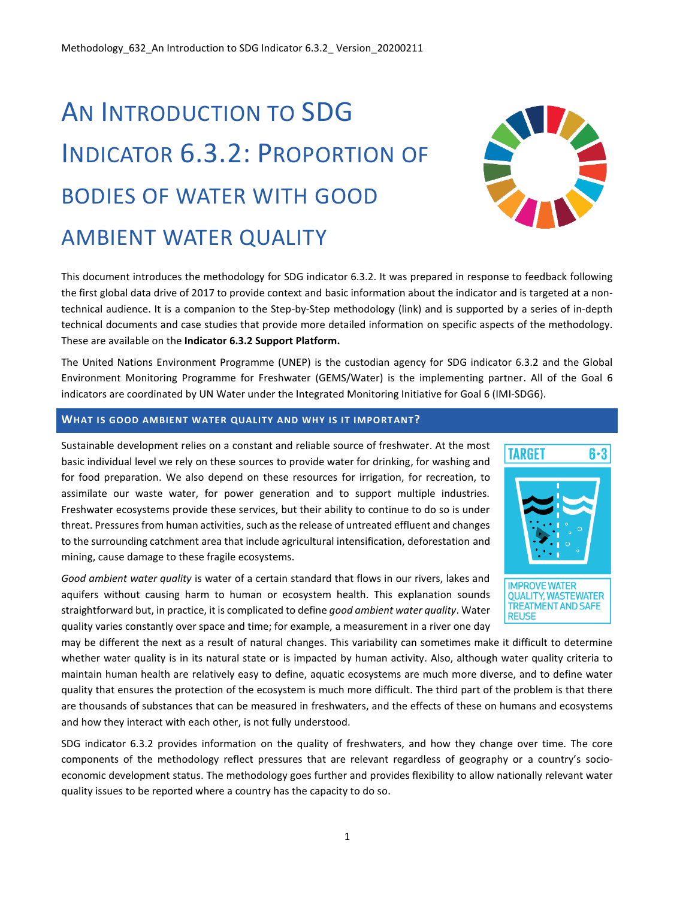# AN INTRODUCTION TO SDG INDICATOR 6.3.2: PROPORTION OF BODIES OF WATER WITH GOOD AMBIENT WATER QUALITY



This document introduces the methodology for SDG indicator 6.3.2. It was prepared in response to feedback following the first global data drive of 2017 to provide context and basic information about the indicator and is targeted at a nontechnical audience. It is a companion to the Step-by-Step methodology (link) and is supported by a series of in-depth technical documents and case studies that provide more detailed information on specific aspects of the methodology. These are available on the **Indicator 6.3.2 Support Platform.**

The United Nations Environment Programme (UNEP) is the custodian agency for SDG indicator 6.3.2 and the Global Environment Monitoring Programme for Freshwater (GEMS/Water) is the implementing partner. All of the Goal 6 indicators are coordinated by UN Water under the Integrated Monitoring Initiative for Goal 6 (IMI-SDG6).

# **WHAT IS GOOD AMBIENT WATER QUALITY AND WHY IS IT IMPORTANT?**

Sustainable development relies on a constant and reliable source of freshwater. At the most basic individual level we rely on these sources to provide water for drinking, for washing and for food preparation. We also depend on these resources for irrigation, for recreation, to assimilate our waste water, for power generation and to support multiple industries. Freshwater ecosystems provide these services, but their ability to continue to do so is under threat. Pressures from human activities, such as the release of untreated effluent and changes to the surrounding catchment area that include agricultural intensification, deforestation and mining, cause damage to these fragile ecosystems.

*Good ambient water quality* is water of a certain standard that flows in our rivers, lakes and aquifers without causing harm to human or ecosystem health. This explanation sounds straightforward but, in practice, it is complicated to define *good ambient water quality*. Water quality varies constantly over space and time; for example, a measurement in a river one day



may be different the next as a result of natural changes. This variability can sometimes make it difficult to determine whether water quality is in its natural state or is impacted by human activity. Also, although water quality criteria to maintain human health are relatively easy to define, aquatic ecosystems are much more diverse, and to define water quality that ensures the protection of the ecosystem is much more difficult. The third part of the problem is that there are thousands of substances that can be measured in freshwaters, and the effects of these on humans and ecosystems and how they interact with each other, is not fully understood.

SDG indicator 6.3.2 provides information on the quality of freshwaters, and how they change over time. The core components of the methodology reflect pressures that are relevant regardless of geography or a country's socioeconomic development status. The methodology goes further and provides flexibility to allow nationally relevant water quality issues to be reported where a country has the capacity to do so.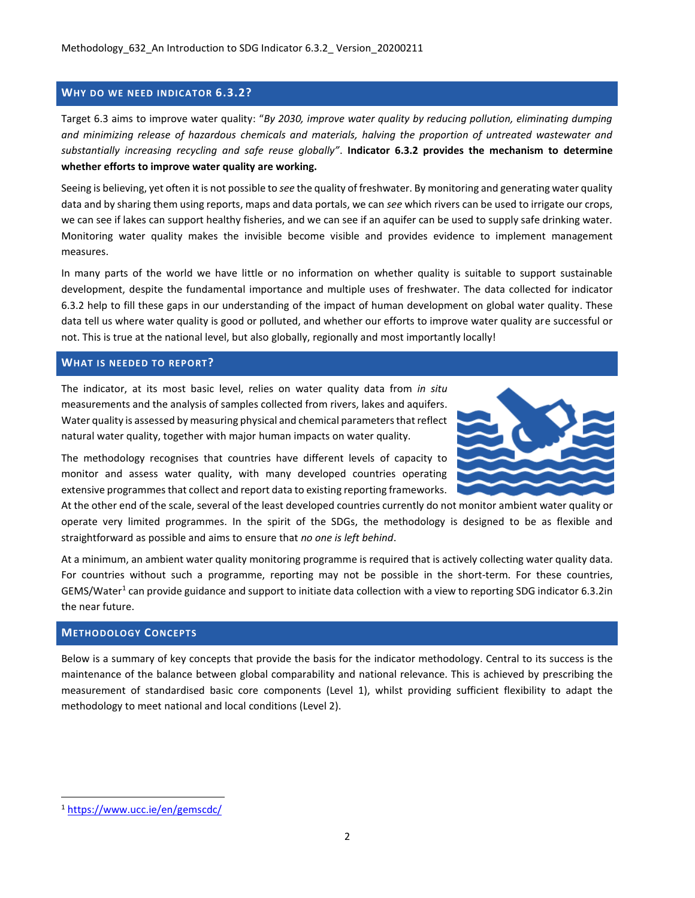## **WHY DO WE NEED INDICATOR 6.3.2?**

Target 6.3 aims to improve water quality: "*By 2030, improve water quality by reducing pollution, eliminating dumping and minimizing release of hazardous chemicals and materials, halving the proportion of untreated wastewater and substantially increasing recycling and safe reuse globally"*. **Indicator 6.3.2 provides the mechanism to determine whether efforts to improve water quality are working.**

Seeing is believing, yet often it is not possible to *see* the quality of freshwater. By monitoring and generating water quality data and by sharing them using reports, maps and data portals, we can *see* which rivers can be used to irrigate our crops, we can see if lakes can support healthy fisheries, and we can see if an aquifer can be used to supply safe drinking water. Monitoring water quality makes the invisible become visible and provides evidence to implement management measures.

In many parts of the world we have little or no information on whether quality is suitable to support sustainable development, despite the fundamental importance and multiple uses of freshwater. The data collected for indicator 6.3.2 help to fill these gaps in our understanding of the impact of human development on global water quality. These data tell us where water quality is good or polluted, and whether our efforts to improve water quality are successful or not. This is true at the national level, but also globally, regionally and most importantly locally!

#### **WHAT IS NEEDED TO REPORT?**

The indicator, at its most basic level, relies on water quality data from *in situ* measurements and the analysis of samples collected from rivers, lakes and aquifers. Water quality is assessed by measuring physical and chemical parameters that reflect natural water quality, together with major human impacts on water quality.

The methodology recognises that countries have different levels of capacity to monitor and assess water quality, with many developed countries operating extensive programmes that collect and report data to existing reporting frameworks.

At the other end of the scale, several of the least developed countries currently do not monitor ambient water quality or operate very limited programmes. In the spirit of the SDGs, the methodology is designed to be as flexible and straightforward as possible and aims to ensure that *no one is left behind*.

At a minimum, an ambient water quality monitoring programme is required that is actively collecting water quality data. For countries without such a programme, reporting may not be possible in the short-term. For these countries, GEMS/Water<sup>1</sup> can provide guidance and support to initiate data collection with a view to reporting SDG indicator 6.3.2in the near future.

# **METHODOLOGY CONCEPTS**

Below is a summary of key concepts that provide the basis for the indicator methodology. Central to its success is the maintenance of the balance between global comparability and national relevance. This is achieved by prescribing the measurement of standardised basic core components (Level 1), whilst providing sufficient flexibility to adapt the methodology to meet national and local conditions (Level 2).

<sup>1</sup> <https://www.ucc.ie/en/gemscdc/>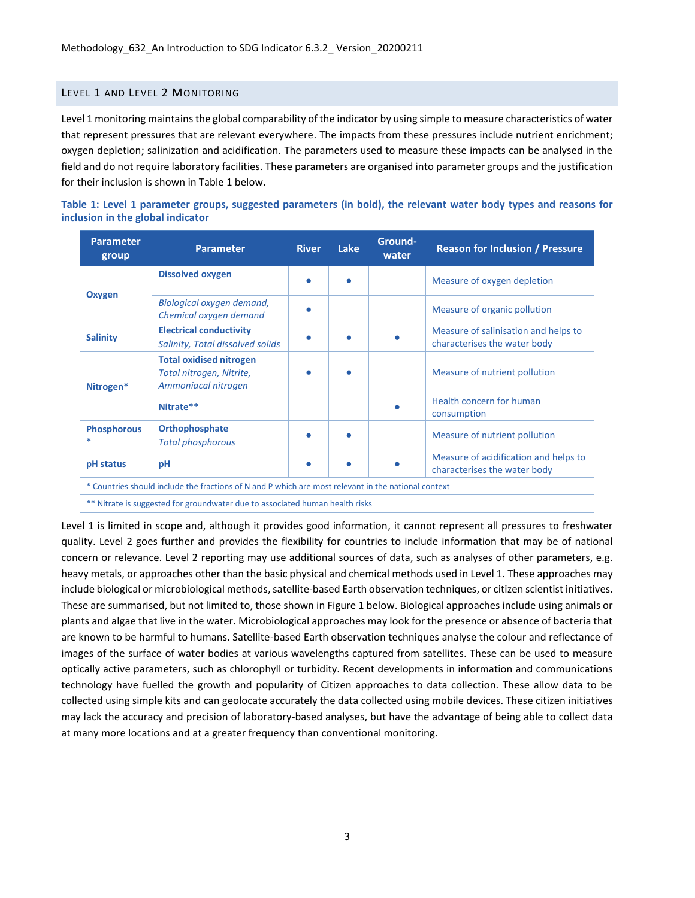# LEVEL 1 AND LEVEL 2 MONITORING

Level 1 monitoring maintains the global comparability of the indicator by using simple to measure characteristics of water that represent pressures that are relevant everywhere. The impacts from these pressures include nutrient enrichment; oxygen depletion; salinization and acidification. The parameters used to measure these impacts can be analysed in the field and do not require laboratory facilities. These parameters are organised into parameter groups and the justification for their inclusion is shown in Table 1 below.

| Table 1: Level 1 parameter groups, suggested parameters (in bold), the relevant water body types and reasons for |  |  |  |  |  |  |  |
|------------------------------------------------------------------------------------------------------------------|--|--|--|--|--|--|--|
| inclusion in the global indicator                                                                                |  |  |  |  |  |  |  |

| <b>Parameter</b><br>group                                                                           | <b>Parameter</b>                                                                  | <b>River</b> | Lake | Ground-<br>water | <b>Reason for Inclusion / Pressure</b>                               |  |  |
|-----------------------------------------------------------------------------------------------------|-----------------------------------------------------------------------------------|--------------|------|------------------|----------------------------------------------------------------------|--|--|
|                                                                                                     | <b>Dissolved oxygen</b>                                                           |              |      |                  | Measure of oxygen depletion                                          |  |  |
| Oxygen                                                                                              | Biological oxygen demand,<br>Chemical oxygen demand                               |              |      |                  | Measure of organic pollution                                         |  |  |
| <b>Salinity</b>                                                                                     | <b>Electrical conductivity</b><br>Salinity, Total dissolved solids                |              |      |                  | Measure of salinisation and helps to<br>characterises the water body |  |  |
| Nitrogen*                                                                                           | <b>Total oxidised nitrogen</b><br>Total nitrogen, Nitrite,<br>Ammoniacal nitrogen |              |      |                  | Measure of nutrient pollution                                        |  |  |
|                                                                                                     | Nitrate**                                                                         |              |      |                  | Health concern for human<br>consumption                              |  |  |
| <b>Phosphorous</b>                                                                                  | Orthophosphate<br><b>Total phosphorous</b>                                        |              |      |                  | Measure of nutrient pollution                                        |  |  |
| pH status                                                                                           | Measure of acidification and helps to<br>рH<br>characterises the water body       |              |      |                  |                                                                      |  |  |
| * Countries should include the fractions of N and P which are most relevant in the national context |                                                                                   |              |      |                  |                                                                      |  |  |
| ** Nitrate is suggested for groundwater due to associated human health risks                        |                                                                                   |              |      |                  |                                                                      |  |  |

Level 1 is limited in scope and, although it provides good information, it cannot represent all pressures to freshwater quality. Level 2 goes further and provides the flexibility for countries to include information that may be of national concern or relevance. Level 2 reporting may use additional sources of data, such as analyses of other parameters, e.g. heavy metals, or approaches other than the basic physical and chemical methods used in Level 1. These approaches may include biological or microbiological methods, satellite-based Earth observation techniques, or citizen scientist initiatives. These are summarised, but not limited to, those shown in Figure 1 below. Biological approaches include using animals or plants and algae that live in the water. Microbiological approaches may look for the presence or absence of bacteria that are known to be harmful to humans. Satellite-based Earth observation techniques analyse the colour and reflectance of images of the surface of water bodies at various wavelengths captured from satellites. These can be used to measure optically active parameters, such as chlorophyll or turbidity. Recent developments in information and communications technology have fuelled the growth and popularity of Citizen approaches to data collection. These allow data to be collected using simple kits and can geolocate accurately the data collected using mobile devices. These citizen initiatives may lack the accuracy and precision of laboratory-based analyses, but have the advantage of being able to collect data at many more locations and at a greater frequency than conventional monitoring.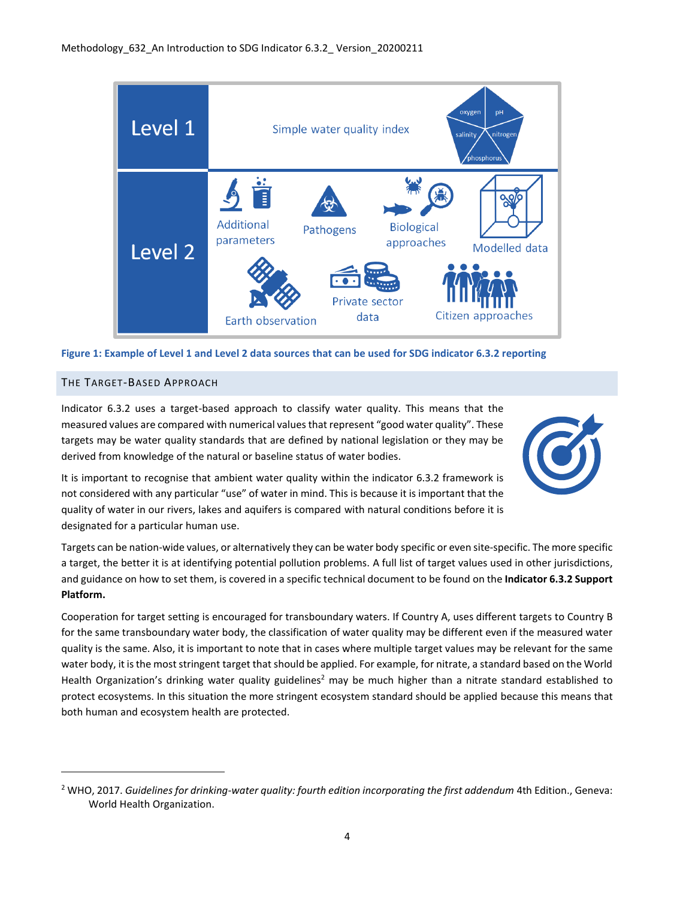

#### **Figure 1: Example of Level 1 and Level 2 data sources that can be used for SDG indicator 6.3.2 reporting**

#### THE TARGET-BASED APPROACH

Indicator 6.3.2 uses a target-based approach to classify water quality. This means that the measured values are compared with numerical values that represent "good water quality". These targets may be water quality standards that are defined by national legislation or they may be derived from knowledge of the natural or baseline status of water bodies.



It is important to recognise that ambient water quality within the indicator 6.3.2 framework is not considered with any particular "use" of water in mind. This is because it is important that the quality of water in our rivers, lakes and aquifers is compared with natural conditions before it is designated for a particular human use.

Targets can be nation-wide values, or alternatively they can be water body specific or even site-specific. The more specific a target, the better it is at identifying potential pollution problems. A full list of target values used in other jurisdictions, and guidance on how to set them, is covered in a specific technical document to be found on the **Indicator 6.3.2 Support Platform.**

Cooperation for target setting is encouraged for transboundary waters. If Country A, uses different targets to Country B for the same transboundary water body, the classification of water quality may be different even if the measured water quality is the same. Also, it is important to note that in cases where multiple target values may be relevant for the same water body, it is the most stringent target that should be applied. For example, for nitrate, a standard based on the World Health Organization's drinking water quality guidelines<sup>2</sup> may be much higher than a nitrate standard established to protect ecosystems. In this situation the more stringent ecosystem standard should be applied because this means that both human and ecosystem health are protected.

<sup>2</sup> WHO, 2017. *Guidelines for drinking-water quality: fourth edition incorporating the first addendum* 4th Edition., Geneva: World Health Organization.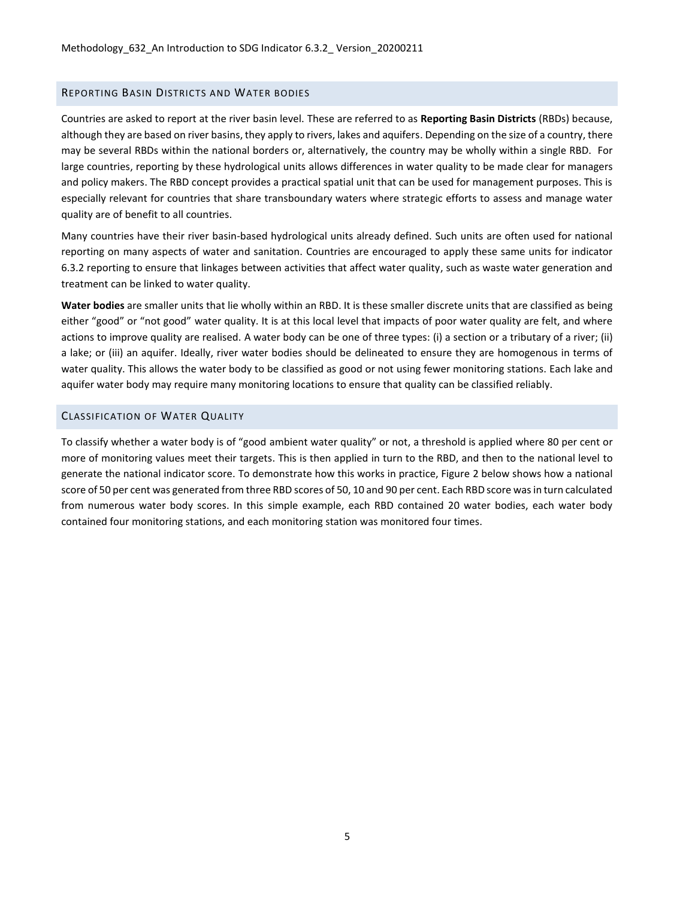### REPORTING BASIN DISTRICTS AND WATER BODIES

Countries are asked to report at the river basin level. These are referred to as **Reporting Basin Districts** (RBDs) because, although they are based on river basins, they apply to rivers, lakes and aquifers. Depending on the size of a country, there may be several RBDs within the national borders or, alternatively, the country may be wholly within a single RBD. For large countries, reporting by these hydrological units allows differences in water quality to be made clear for managers and policy makers. The RBD concept provides a practical spatial unit that can be used for management purposes. This is especially relevant for countries that share transboundary waters where strategic efforts to assess and manage water quality are of benefit to all countries.

Many countries have their river basin-based hydrological units already defined. Such units are often used for national reporting on many aspects of water and sanitation. Countries are encouraged to apply these same units for indicator 6.3.2 reporting to ensure that linkages between activities that affect water quality, such as waste water generation and treatment can be linked to water quality.

**Water bodies** are smaller units that lie wholly within an RBD. It is these smaller discrete units that are classified as being either "good" or "not good" water quality. It is at this local level that impacts of poor water quality are felt, and where actions to improve quality are realised. A water body can be one of three types: (i) a section or a tributary of a river; (ii) a lake; or (iii) an aquifer. Ideally, river water bodies should be delineated to ensure they are homogenous in terms of water quality. This allows the water body to be classified as good or not using fewer monitoring stations. Each lake and aquifer water body may require many monitoring locations to ensure that quality can be classified reliably.

#### CLASSIFICATION OF WATER QUALITY

To classify whether a water body is of "good ambient water quality" or not, a threshold is applied where 80 per cent or more of monitoring values meet their targets. This is then applied in turn to the RBD, and then to the national level to generate the national indicator score. To demonstrate how this works in practice, Figure 2 below shows how a national score of 50 per cent was generated from three RBD scores of 50, 10 and 90 per cent. Each RBD score was in turn calculated from numerous water body scores. In this simple example, each RBD contained 20 water bodies, each water body contained four monitoring stations, and each monitoring station was monitored four times.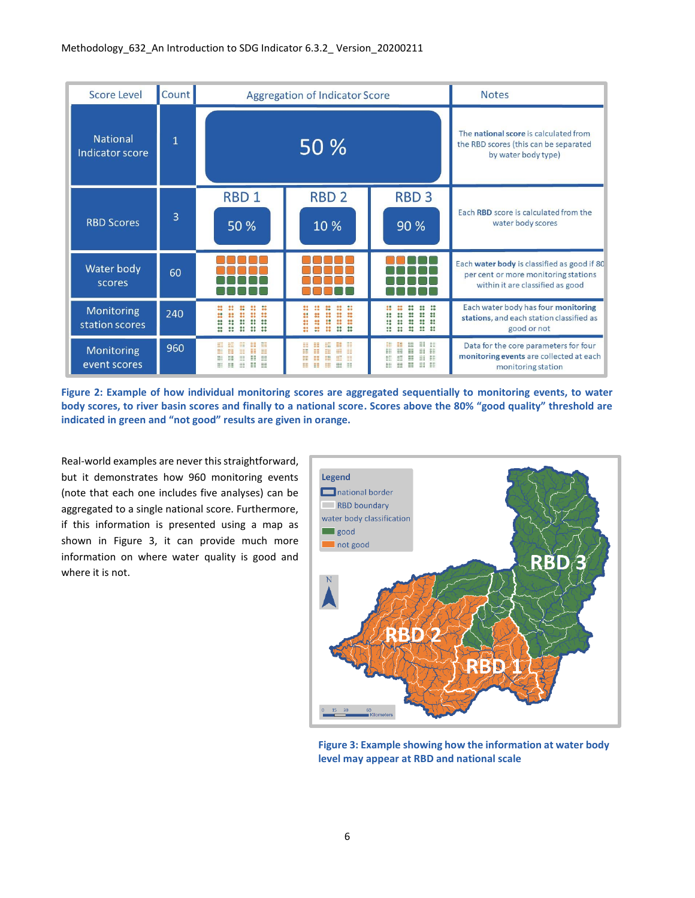| <b>Score Level</b>                 | Count |                                                                                                  | <b>Aggregation of Indicator Score</b>                                                                                                                     | <b>Notes</b>                                                                                                       |                                                                                                                         |  |  |
|------------------------------------|-------|--------------------------------------------------------------------------------------------------|-----------------------------------------------------------------------------------------------------------------------------------------------------------|--------------------------------------------------------------------------------------------------------------------|-------------------------------------------------------------------------------------------------------------------------|--|--|
| <b>National</b><br>Indicator score | 1     |                                                                                                  | 50 %                                                                                                                                                      | The national score is calculated from<br>the RBD scores (this can be separated<br>by water body type)              |                                                                                                                         |  |  |
| <b>RBD Scores</b>                  | 3     | RBD <sub>1</sub><br>50 %                                                                         | RBD <sub>2</sub><br>10 %                                                                                                                                  | <b>RBD3</b><br>90 %                                                                                                | Each RBD score is calculated from the<br>water body scores                                                              |  |  |
| Water body<br>scores               | 60    |                                                                                                  |                                                                                                                                                           |                                                                                                                    | Each water body is classified as good if 80<br>per cent or more monitoring stations<br>within it are classified as good |  |  |
| Monitoring<br>station scores       | 240   | 66<br>00                                                                                         | 88<br>$\frac{88}{66}$<br>$\frac{99}{99}$<br>∷<br>88<br>88<br>$\frac{99}{99}$<br>8<br>22<br>8<br>ä<br>$\bullet$<br>0 <sup>o</sup><br>$\frac{99}{99}$<br>66 | 8<br>8<br>×<br>$\ddot{\phantom{a}}$<br>::<br>$\bullet$<br><br>$\bullet\bullet$<br>$\frac{99}{18}$                  | Each water body has four monitoring<br>stations, and each station classified as<br>good or not                          |  |  |
| Monitoring<br>event scores         | 960   | ##<br>睚<br>m<br>₩<br>膃<br>m<br>m<br>睚<br>m<br>Ħ<br>m<br>≣<br>m<br>88<br>≣<br>::<br>88<br>m<br>88 | m<br>照<br>≣<br>m<br>m<br>m<br>照<br>m<br>誰<br>m<br>韭<br>m<br>m<br>m<br><b>BB</b><br>EE<br>m<br>88 88<br>።                                                  | <b>HH</b><br>m<br>鼺<br>m<br>88<br>88 88<br>m<br>m<br>罪<br>≣<br><b>HE HE</b><br>iii<br>88<br>≣<br><b>HH HH</b><br>用 | Data for the core parameters for four<br>monitoring events are collected at each<br>monitoring station                  |  |  |

**Figure 2: Example of how individual monitoring scores are aggregated sequentially to monitoring events, to water body scores, to river basin scores and finally to a national score. Scores above the 80% "good quality" threshold are indicated in green and "not good" results are given in orange.**

Real-world examples are never this straightforward, but it demonstrates how 960 monitoring events (note that each one includes five analyses) can be aggregated to a single national score. Furthermore, if this information is presented using a map as shown in [Figure 3,](#page-5-0) it can provide much more information on where water quality is good and where it is not.



<span id="page-5-0"></span>**Figure 3: Example showing how the information at water body level may appear at RBD and national scale**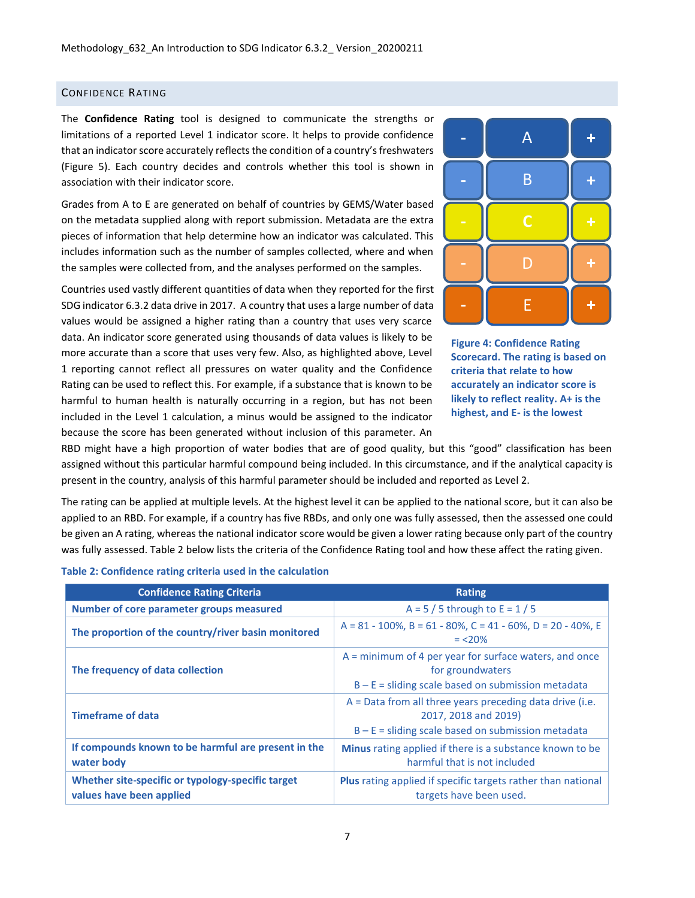## CONFIDENCE RATING

The **Confidence Rating** tool is designed to communicate the strengths or limitations of a reported Level 1 indicator score. It helps to provide confidence that an indicator score accurately reflects the condition of a country's freshwaters [\(Figure 5\)](#page-7-0). Each country decides and controls whether this tool is shown in association with their indicator score.

Grades from A to E are generated on behalf of countries by GEMS/Water based on the metadata supplied along with report submission. Metadata are the extra pieces of information that help determine how an indicator was calculated. This includes information such as the number of samples collected, where and when the samples were collected from, and the analyses performed on the samples.

Countries used vastly different quantities of data when they reported for the first SDG indicator 6.3.2 data drive in 2017. A country that uses a large number of data values would be assigned a higher rating than a country that uses very scarce data. An indicator score generated using thousands of data values is likely to be more accurate than a score that uses very few. Also, as highlighted above, Level 1 reporting cannot reflect all pressures on water quality and the Confidence Rating can be used to reflect this. For example, if a substance that is known to be harmful to human health is naturally occurring in a region, but has not been included in the Level 1 calculation, a minus would be assigned to the indicator because the score has been generated without inclusion of this parameter. An





RBD might have a high proportion of water bodies that are of good quality, but this "good" classification has been assigned without this particular harmful compound being included. In this circumstance, and if the analytical capacity is present in the country, analysis of this harmful parameter should be included and reported as Level 2.

The rating can be applied at multiple levels. At the highest level it can be applied to the national score, but it can also be applied to an RBD. For example, if a country has five RBDs, and only one was fully assessed, then the assessed one could be given an A rating, whereas the national indicator score would be given a lower rating because only part of the country was fully assessed. Table 2 below lists the criteria of the Confidence Rating tool and how these affect the rating given.

|  | Table 2: Confidence rating criteria used in the calculation |  |  |  |
|--|-------------------------------------------------------------|--|--|--|
|  |                                                             |  |  |  |

| <b>Confidence Rating Criteria</b>                                             | <b>Rating</b>                                                                                                                              |
|-------------------------------------------------------------------------------|--------------------------------------------------------------------------------------------------------------------------------------------|
| Number of core parameter groups measured                                      | $A = 5 / 5$ through to $E = 1 / 5$                                                                                                         |
| The proportion of the country/river basin monitored                           | $A = 81 - 100\%$ , $B = 61 - 80\%$ , $C = 41 - 60\%$ , $D = 20 - 40\%$ , E<br>$= 20\%$                                                     |
| The frequency of data collection                                              | $A =$ minimum of 4 per year for surface waters, and once<br>for groundwaters<br>$B - E$ = sliding scale based on submission metadata       |
| <b>Timeframe of data</b>                                                      | $A = Data from all three years preceding data drive (i.e.$<br>2017, 2018 and 2019)<br>$B - E$ = sliding scale based on submission metadata |
| If compounds known to be harmful are present in the<br>water body             | <b>Minus</b> rating applied if there is a substance known to be<br>harmful that is not included                                            |
| Whether site-specific or typology-specific target<br>values have been applied | <b>Plus</b> rating applied if specific targets rather than national<br>targets have been used.                                             |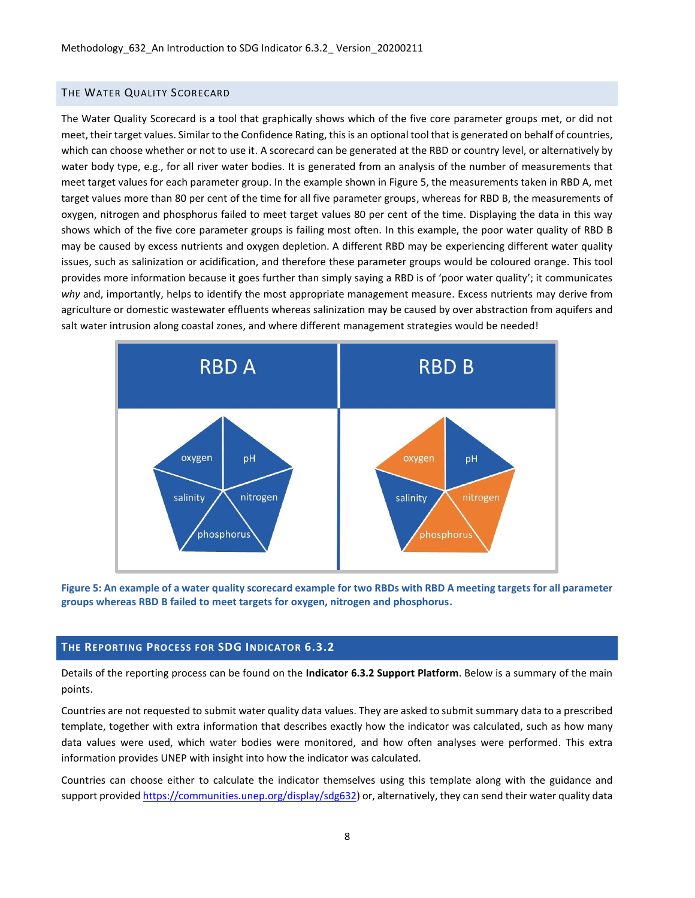## THE WATER QUALITY SCORECARD

The Water Quality Scorecard is a tool that graphically shows which of the five core parameter groups met, or did not meet, their target values. Similar to the Confidence Rating, this is an optional tool that is generated on behalf of countries, which can choose whether or not to use it. A scorecard can be generated at the RBD or country level, or alternatively by water body type, e.g., for all river water bodies. It is generated from an analysis of the number of measurements that meet target values for each parameter group. In the example shown in [Figure 5,](#page-7-0) the measurements taken in RBD A, met target values more than 80 per cent of the time for all five parameter groups, whereas for RBD B, the measurements of oxygen, nitrogen and phosphorus failed to meet target values 80 per cent of the time. Displaying the data in this way shows which of the five core parameter groups is failing most often. In this example, the poor water quality of RBD B may be caused by excess nutrients and oxygen depletion. A different RBD may be experiencing different water quality issues, such as salinization or acidification, and therefore these parameter groups would be coloured orange. This tool provides more information because it goes further than simply saying a RBD is of 'poor water quality'; it communicates *why* and, importantly, helps to identify the most appropriate management measure. Excess nutrients may derive from agriculture or domestic wastewater effluents whereas salinization may be caused by over abstraction from aquifers and salt water intrusion along coastal zones, and where different management strategies would be needed!



<span id="page-7-0"></span>**Figure 5: An example of a water quality scorecard example for two RBDs with RBD A meeting targets for all parameter groups whereas RBD B failed to meet targets for oxygen, nitrogen and phosphorus.**

## **THE REPORTING PROCESS FOR SDG INDICATOR 6.3.2**

Details of the reporting process can be found on the **Indicator 6.3.2 Support Platform**. Below is a summary of the main points.

Countries are not requested to submit water quality data values. They are asked to submit summary data to a prescribed template, together with extra information that describes exactly how the indicator was calculated, such as how many data values were used, which water bodies were monitored, and how often analyses were performed. This extra information provides UNEP with insight into how the indicator was calculated.

Countries can choose either to calculate the indicator themselves using this template along with the guidance and support provided [https://communities.unep.org/display/sdg632\)](https://communities.unep.org/display/sdg632) or, alternatively, they can send their water quality data